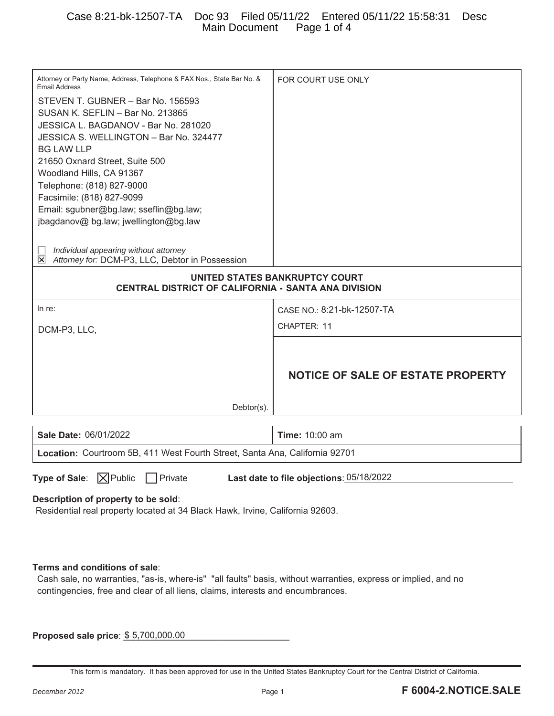| Attorney or Party Name, Address, Telephone & FAX Nos., State Bar No. &<br><b>Email Address</b><br>STEVEN T. GUBNER - Bar No. 156593<br>SUSAN K. SEFLIN - Bar No. 213865<br>JESSICA L. BAGDANOV - Bar No. 281020<br>JESSICA S. WELLINGTON - Bar No. 324477<br><b>BG LAW LLP</b><br>21650 Oxnard Street, Suite 500<br>Woodland Hills, CA 91367<br>Telephone: (818) 827-9000<br>Facsimile: (818) 827-9099<br>Email: sgubner@bg.law; sseflin@bg.law;<br>jbagdanov@ bg.law; jwellington@bg.law<br>Individual appearing without attorney<br>Attorney for: DCM-P3, LLC, Debtor in Possession<br>∣×∣ | FOR COURT USE ONLY                       |  |
|----------------------------------------------------------------------------------------------------------------------------------------------------------------------------------------------------------------------------------------------------------------------------------------------------------------------------------------------------------------------------------------------------------------------------------------------------------------------------------------------------------------------------------------------------------------------------------------------|------------------------------------------|--|
| UNITED STATES BANKRUPTCY COURT                                                                                                                                                                                                                                                                                                                                                                                                                                                                                                                                                               |                                          |  |
| CENTRAL DISTRICT OF CALIFORNIA - SANTA ANA DIVISION                                                                                                                                                                                                                                                                                                                                                                                                                                                                                                                                          |                                          |  |
| In re:                                                                                                                                                                                                                                                                                                                                                                                                                                                                                                                                                                                       | CASE NO.: 8:21-bk-12507-TA               |  |
| DCM-P3, LLC,                                                                                                                                                                                                                                                                                                                                                                                                                                                                                                                                                                                 | CHAPTER: 11                              |  |
| $Dektor(s)$ .                                                                                                                                                                                                                                                                                                                                                                                                                                                                                                                                                                                | <b>NOTICE OF SALE OF ESTATE PROPERTY</b> |  |
| Sale Date: 06/01/2022                                                                                                                                                                                                                                                                                                                                                                                                                                                                                                                                                                        | <b>Time: 10:00 am</b>                    |  |
|                                                                                                                                                                                                                                                                                                                                                                                                                                                                                                                                                                                              |                                          |  |
| Location: Courtroom 5B, 411 West Fourth Street, Santa Ana, California 92701                                                                                                                                                                                                                                                                                                                                                                                                                                                                                                                  |                                          |  |
|                                                                                                                                                                                                                                                                                                                                                                                                                                                                                                                                                                                              |                                          |  |
| Type of Sale: $\boxed{\times}$ Public<br>$\Box$ Private                                                                                                                                                                                                                                                                                                                                                                                                                                                                                                                                      | Last date to file objections: 05/18/2022 |  |
| Residential real property located at 34 Black Hawk, Irvine, California 92603.                                                                                                                                                                                                                                                                                                                                                                                                                                                                                                                |                                          |  |
| Description of property to be sold:<br>Terms and conditions of sale:<br>Cash sale, no warranties, "as-is, where-is" "all faults" basis, without warranties, express or implied, and no<br>contingencies, free and clear of all liens, claims, interests and encumbrances.                                                                                                                                                                                                                                                                                                                    |                                          |  |

This form is mandatory. It has been approved for use in the United States Bankruptcy Court for the Central District of California.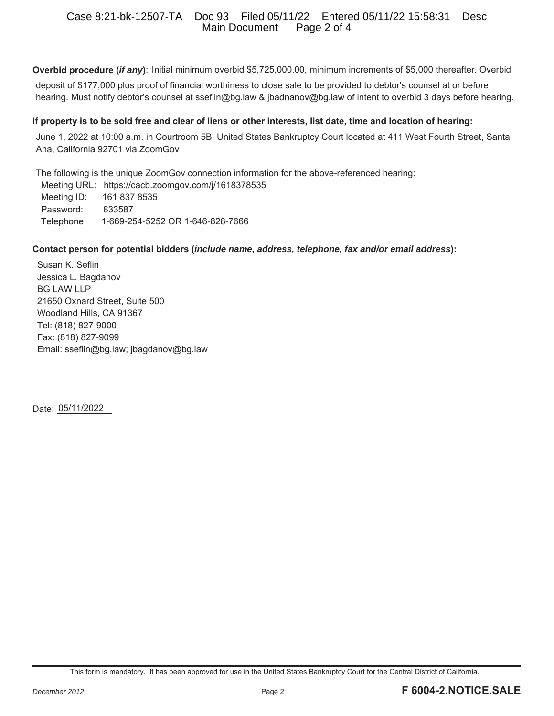## Case 8:21-bk-12507-TA Doc 93 Filed 05/11/22 Entered 05/11/22 15:58:31 Desc Main Document

**Overbid procedure (***if any***)**: Initial minimum overbid \$5,725,000.00, minimum increments of \$5,000 thereafter. Overbid deposit of \$177,000 plus proof of financial worthiness to close sale to be provided to debtor's counsel at or before hearing. Must notify debtor's counsel at sseflin@bg.law & jbadnanov@bg.law of intent to overbid 3 days before hearing.

### **If property is to be sold free and clear of liens or other interests, list date, time and location of hearing:**

June 1, 2022 at 10:00 a.m. in Courtroom 5B, United States Bankruptcy Court located at 411 West Fourth Street, Santa Ana, California 92701 via ZoomGov

The following is the unique ZoomGov connection information for the above-referenced hearing:

 Meeting URL: https://cacb.zoomgov.com/j/1618378535 Meeting ID: 161 837 8535 Password: 833587 Telephone: 1-669-254-5252 OR 1-646-828-7666

### **Contact person for potential bidders (***include name, address, telephone, fax and/or email address***):**

Susan K. Seflin Jessica L. Bagdanov BG LAW LLP 21650 Oxnard Street, Suite 500 Woodland Hills, CA 91367 Tel: (818) 827-9000 Fax: (818) 827-9099 Email: sseflin@bg.law; jbagdanov@bg.law

Date: 05/11/2022

This form is mandatory. It has been approved for use in the United States Bankruptcy Court for the Central District of California.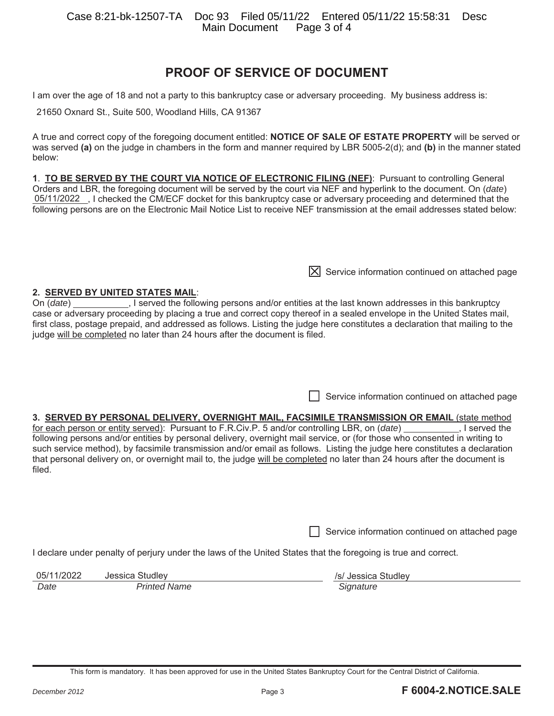# **PROOF OF SERVICE OF DOCUMENT**

I am over the age of 18 and not a party to this bankruptcy case or adversary proceeding. My business address is:

21650 Oxnard St., Suite 500, Woodland Hills, CA 91367

A true and correct copy of the foregoing document entitled: **NOTICE OF SALE OF ESTATE PROPERTY** will be served or was served **(a)** on the judge in chambers in the form and manner required by LBR 5005-2(d); and **(b)** in the manner stated below:

**1**. **TO BE SERVED BY THE COURT VIA NOTICE OF ELECTRONIC FILING (NEF)**: Pursuant to controlling General Orders and LBR, the foregoing document will be served by the court via NEF and hyperlink to the document. On (*date*) 05/11/2022 , I checked the CM/ECF docket for this bankruptcy case or adversary proceeding and determined that the following persons are on the Electronic Mail Notice List to receive NEF transmission at the email addresses stated below:

**2. SERVED BY UNITED STATES MAIL**: On (*date*) \_\_\_\_\_\_\_\_\_\_\_\_, I served the following persons and/or entities at the last known addresses in this bankruptcy case or adversary proceeding by placing a true and correct copy thereof in a sealed envelope in the United States mail, first class, postage prepaid, and addressed as follows. Listing the judge here constitutes a declaration that mailing to the judge will be completed no later than 24 hours after the document is filed.

Service information continued on attached page

 $[\overline{X}]$  Service information continued on attached page

## **3. SERVED BY PERSONAL DELIVERY, OVERNIGHT MAIL, FACSIMILE TRANSMISSION OR EMAIL** (state method

for each person or entity served): Pursuant to F.R.Civ.P. 5 and/or controlling LBR, on (*date*) \_\_\_\_\_\_\_\_\_\_, I served the following persons and/or entities by personal delivery, overnight mail service, or (for those who consented in writing to such service method), by facsimile transmission and/or email as follows. Listing the judge here constitutes a declaration that personal delivery on, or overnight mail to, the judge will be completed no later than 24 hours after the document is filed.

Service information continued on attached page

I declare under penalty of perjury under the laws of the United States that the foregoing is true and correct.

| 05/11/2022 | Jessica Studley     | /s/ Jessica Studley |
|------------|---------------------|---------------------|
| Date       | <b>Printed Name</b> | Signature           |